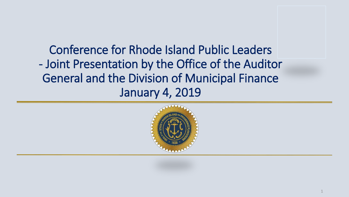Conference for Rhode Island Public Leaders - Joint Presentation by the Office of the Auditor General and the Division of Municipal Finance January 4, 2019

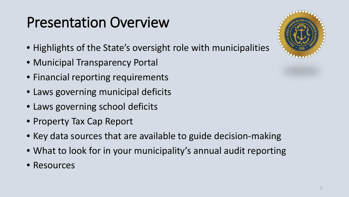# Presentation Overview

- Highlights of the State's oversight role with municipalities
- Municipal Transparency Portal
- Financial reporting requirements
- Laws governing municipal deficits
- Laws governing school deficits
- Property Tax Cap Report
- Key data sources that are available to guide decision-making
- What to look for in your municipality's annual audit reporting
- Resources

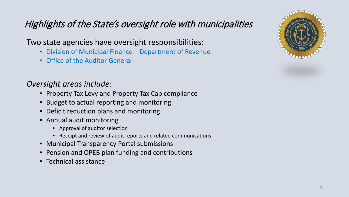### Highlights of the State's oversight role with municipalities

#### Two state agencies have oversight responsibilities:

- Division of Municipal Finance Department of Revenue
- Office of the Auditor General

#### *Oversight areas include:*

- Property Tax Levy and Property Tax Cap compliance
- Budget to actual reporting and monitoring
- Deficit reduction plans and monitoring
- Annual audit monitoring
	- Approval of auditor selection
	- Receipt and review of audit reports and related communications
- Municipal Transparency Portal submissions
- Pension and OPEB plan funding and contributions
- Technical assistance

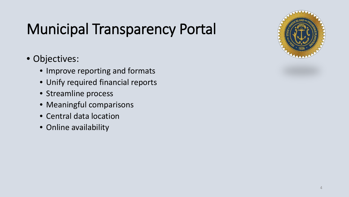# Municipal Transparency Portal

### • Objectives:

- Improve reporting and formats
- Unify required financial reports
- Streamline process
- Meaningful comparisons
- Central data location
- Online availability

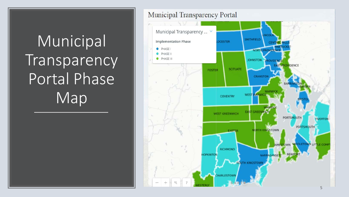# Municipal Transparency Portal Phase Map

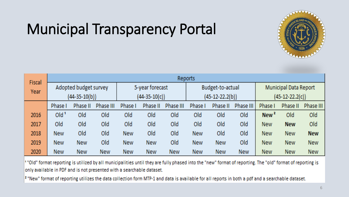# Municipal Transparency Portal



| <b>Fiscal</b> | Reports               |            |                 |                 |            |                   |                  |            |                   |                              |            |            |  |
|---------------|-----------------------|------------|-----------------|-----------------|------------|-------------------|------------------|------------|-------------------|------------------------------|------------|------------|--|
| Year          | Adopted budget survey |            |                 | 5-year forecast |            |                   | Budget-to-actual |            |                   | <b>Municipal Data Report</b> |            |            |  |
|               | $(44-35-10(b))$       |            | $(44-35-10(c))$ |                 |            | $(45-12-22.2(b))$ |                  |            | $(45-12-22.2(c))$ |                              |            |            |  |
|               | <b>Phase I</b>        | Phase II   | Phase III       | Phase I         | Phase II   | Phase III         | Phase I          | Phase II   | Phase III         | <b>Phase I</b>               | Phase II   | Phase III  |  |
| 2016          | Old <sup>1</sup>      | Old        | Old             | Old             | Old        | Old               | Old              | Old        | Old               | New <sup>2</sup>             | Old        | Old        |  |
| 2017          | Old                   | Old        | Old             | Old             | Old        | Old               | Old              | Old        | Old               | <b>New</b>                   | <b>New</b> | Old        |  |
| 2018          | <b>New</b>            | Old        | Old             | <b>New</b>      | Old        | Old               | <b>New</b>       | Old        | Old               | <b>New</b>                   | <b>New</b> | <b>New</b> |  |
| 2019          | <b>New</b>            | <b>New</b> | Old             | <b>New</b>      | <b>New</b> | Old               | <b>New</b>       | <b>New</b> | Old               | <b>New</b>                   | <b>New</b> | <b>New</b> |  |
| 2020          | <b>New</b>            | <b>New</b> | <b>New</b>      | <b>New</b>      | <b>New</b> | <b>New</b>        | <b>New</b>       | <b>New</b> | <b>New</b>        | <b>New</b>                   | <b>New</b> | <b>New</b> |  |

1 "Old" format reporting is utilized by all municipalities until they are fully phased into the "new" format of reporting. The "old" format of reporting is only available in PDF and is not presented with a searchable dataset.

 $|^2$  "New" format of reporting utilizes the data collection form MTP-1 and data is available for all reports in both a pdf and a searchable dataset.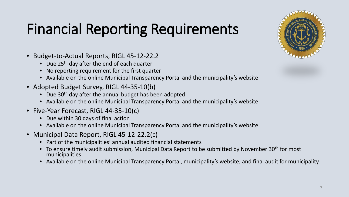# Financial Reporting Requirements

- Budget-to-Actual Reports, RIGL 45-12-22.2
	- Due  $25<sup>th</sup>$  day after the end of each quarter
	- No reporting requirement for the first quarter
	- Available on the online Municipal Transparency Portal and the municipality's website
- Adopted Budget Survey, RIGL 44-35-10(b)
	- Due 30<sup>th</sup> day after the annual budget has been adopted
	- Available on the online Municipal Transparency Portal and the municipality's website
- Five-Year Forecast, RIGL 44-35-10(c)
	- Due within 30 days of final action
	- Available on the online Municipal Transparency Portal and the municipality's website
- Municipal Data Report, RIGL 45-12-22.2(c)
	- Part of the municipalities' annual audited financial statements
	- To ensure timely audit submission, Municipal Data Report to be submitted by November 30<sup>th</sup> for most municipalities
	- Available on the online Municipal Transparency Portal, municipality's website, and final audit for municipality

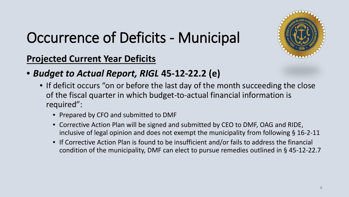

# Occurrence of Deficits - Municipal

**Projected Current Year Deficits**

- *Budget to Actual Report, RIGL* **45-12-22.2 (e)**
	- If deficit occurs "on or before the last day of the month succeeding the close of the fiscal quarter in which budget-to-actual financial information is required":
		- Prepared by CFO and submitted to DMF
		- Corrective Action Plan will be signed and submitted by CEO to DMF, OAG and RIDE, inclusive of legal opinion and does not exempt the municipality from following § 16-2-11
		- If Corrective Action Plan is found to be insufficient and/or fails to address the financial condition of the municipality, DMF can elect to pursue remedies outlined in § 45-12-22.7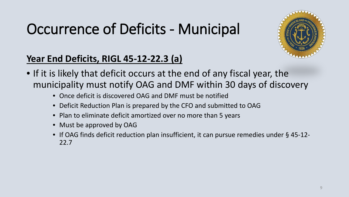# Occurrence of Deficits - Municipal



### **Year End Deficits, RIGL 45-12-22.3 (a)**

- If it is likely that deficit occurs at the end of any fiscal year, the municipality must notify OAG and DMF within 30 days of discovery
	- Once deficit is discovered OAG and DMF must be notified
	- Deficit Reduction Plan is prepared by the CFO and submitted to OAG
	- Plan to eliminate deficit amortized over no more than 5 years
	- Must be approved by OAG
	- If OAG finds deficit reduction plan insufficient, it can pursue remedies under § 45-12- 22.7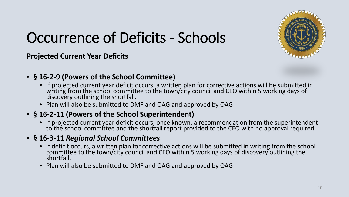

# Occurrence of Deficits - Schools

**Projected Current Year Deficits**

- **§ 16-2-9 (Powers of the School Committee)**
	- If projected current year deficit occurs, a written plan for corrective actions will be submitted in writing from the school committee to the town/city council and CEO within 5 working days of discovery outlining the shortfall.
	- Plan will also be submitted to DMF and OAG and approved by OAG

#### • **§ 16-2-11 (Powers of the School Superintendent)**

• If projected current year deficit occurs, once known, a recommendation from the superintendent to the school committee and the shortfall report provided to the CEO with no approval required

#### • **§ 16-3-11** *Regional School Committees*

- If deficit occurs, a written plan for corrective actions will be submitted in writing from the school committee to the town/city council and CEO within 5 working days of discovery outlining the shortfall.
- Plan will also be submitted to DMF and OAG and approved by OAG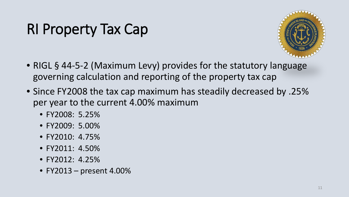# RI Property Tax Cap



- RIGL § 44-5-2 (Maximum Levy) provides for the statutory language governing calculation and reporting of the property tax cap
- Since FY2008 the tax cap maximum has steadily decreased by .25% per year to the current 4.00% maximum
	- FY2008: 5.25%
	- FY2009: 5.00%
	- FY2010: 4.75%
	- FY2011: 4.50%
	- FY2012: 4.25%
	- FY2013 present 4.00%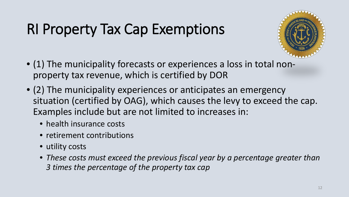# RI Property Tax Cap Exemptions



- (1) The municipality forecasts or experiences a loss in total nonproperty tax revenue, which is certified by DOR
- (2) The municipality experiences or anticipates an emergency situation (certified by OAG), which causes the levy to exceed the cap. Examples include but are not limited to increases in:
	- health insurance costs
	- retirement contributions
	- utility costs
	- *These costs must exceed the previous fiscal year by a percentage greater than 3 times the percentage of the property tax cap*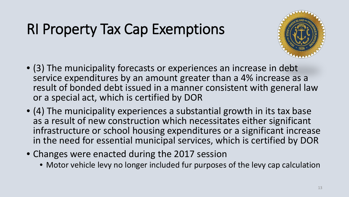# RI Property Tax Cap Exemptions



- (3) The municipality forecasts or experiences an increase in debt service expenditures by an amount greater than a 4% increase as a result of bonded debt issued in a manner consistent with general law or a special act, which is certified by DOR
- (4) The municipality experiences a substantial growth in its tax base as a result of new construction which necessitates either significant infrastructure or school housing expenditures or a significant increase in the need for essential municipal services, which is certified by DOR
- Changes were enacted during the 2017 session
	- Motor vehicle levy no longer included fur purposes of the levy cap calculation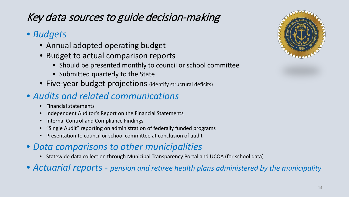### Key data sources to guide decision-making

#### • *Budgets*

- Annual adopted operating budget
- Budget to actual comparison reports
	- Should be presented monthly to council or school committee
	- Submitted quarterly to the State
- Five-year budget projections (identify structural deficits)

### • *Audits and related communications*

- Financial statements
- Independent Auditor's Report on the Financial Statements
- Internal Control and Compliance Findings
- "Single Audit" reporting on administration of federally funded programs
- Presentation to council or school committee at conclusion of audit
- *Data comparisons to other municipalities*
	- Statewide data collection through Municipal Transparency Portal and UCOA (for school data)
- *Actuarial reports - pension and retiree health plans administered by the municipality*

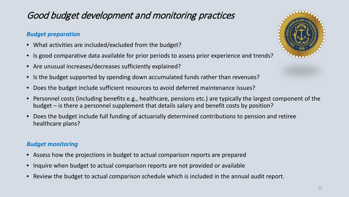### Good budget development and monitoring practices

#### *Budget preparation*

- What activities are included/excluded from the budget?
- Is good comparative data available for prior periods to assess prior experience and trends?
- Are unusual increases/decreases sufficiently explained?
- Is the budget supported by spending down accumulated funds rather than revenues?
- Does the budget include sufficient resources to avoid deferred maintenance issues?
- Personnel costs (including benefits e.g., healthcare, pensions etc.) are typically the largest component of the budget – is there a personnel supplement that details salary and benefit costs by position?
- Does the budget include full funding of actuarially determined contributions to pension and retiree healthcare plans?

#### *Budget monitoring*

- Assess how the projections in budget to actual comparison reports are prepared
- Inquire when budget to actual comparison reports are not provided or available
- Review the budget to actual comparison schedule which is included in the annual audit report.

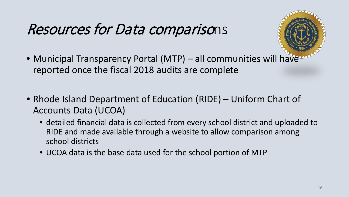# Resources for Data comparisons

- Municipal Transparency Portal (MTP) all communities will have reported once the fiscal 2018 audits are complete
- Rhode Island Department of Education (RIDE) Uniform Chart of Accounts Data (UCOA)
	- detailed financial data is collected from every school district and uploaded to RIDE and made available through a website to allow comparison among school districts
	- UCOA data is the base data used for the school portion of MTP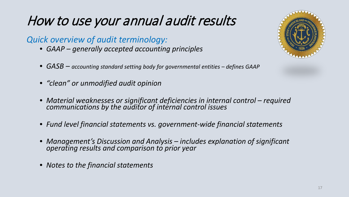#### *Quick overview of audit terminology:*

- *GAAP – generally accepted accounting principles*
- *GASB – accounting standard setting body for governmental entities – defines GAAP*
- *"clean" or unmodified audit opinion*
- *Material weaknesses or significant deficiencies in internal control – required communications by the auditor of internal control issues*
- *Fund level financial statements vs. government-wide financial statements*
- *Management's Discussion and Analysis – includes explanation of significant operating results and comparison to prior year*
- *Notes to the financial statements*

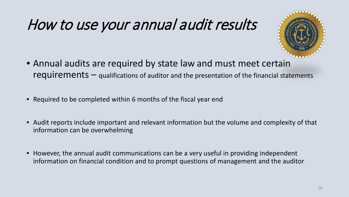

- Annual audits are required by state law and must meet certain requirements – qualifications of auditor and the presentation of the financial statements
- Required to be completed within 6 months of the fiscal year end
- Audit reports include important and relevant information but the volume and complexity of that information can be overwhelming
- However, the annual audit communications can be a very useful in providing independent information on financial condition and to prompt questions of management and the auditor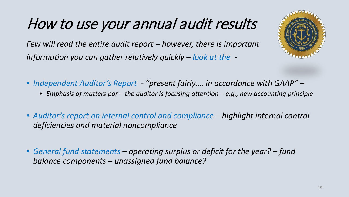*Few will read the entire audit report – however, there is important information you can gather relatively quickly – look at the -*

- *Independent Auditor's Report - "present fairly…. in accordance with GAAP" –*
	- *Emphasis of matters par – the auditor is focusing attention – e.g., new accounting principle*
- *Auditor's report on internal control and compliance – highlight internal control deficiencies and material noncompliance*
- *General fund statements – operating surplus or deficit for the year? – fund balance components – unassigned fund balance?*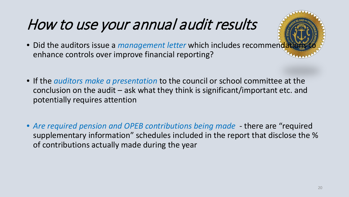- Did the auditors issue a *management letter* which includes recommenda enhance controls over improve financial reporting?
- If the *auditors make a presentation* to the council or school committee at the conclusion on the audit – ask what they think is significant/important etc. and potentially requires attention
- *Are required pension and OPEB contributions being made* there are "required supplementary information" schedules included in the report that disclose the % of contributions actually made during the year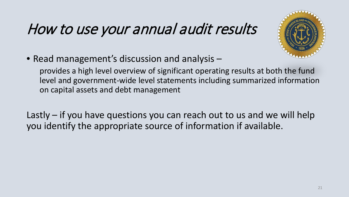

• Read management's discussion and analysis –

provides a high level overview of significant operating results at both the fund level and government-wide level statements including summarized information on capital assets and debt management

Lastly – if you have questions you can reach out to us and we will help you identify the appropriate source of information if available.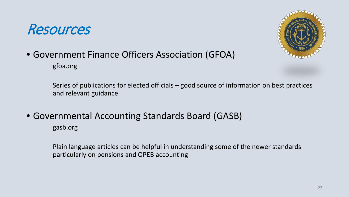## Resources



## • Government Finance Officers Association (GFOA)

gfoa.org

Series of publications for elected officials – good source of information on best practices and relevant guidance

• Governmental Accounting Standards Board (GASB)

gasb.org

Plain language articles can be helpful in understanding some of the newer standards particularly on pensions and OPEB accounting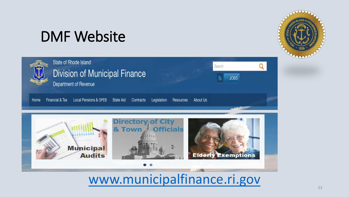## DMF Website

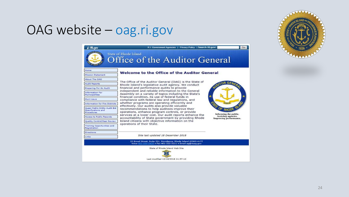## OAG website – oag.ri.gov

| <b>NI.gov</b>                                                            | R.I. Government Agencies   Privacy Policy   Search RI.gov:                                                                                          | Go                                                                     |  |  |  |  |  |
|--------------------------------------------------------------------------|-----------------------------------------------------------------------------------------------------------------------------------------------------|------------------------------------------------------------------------|--|--|--|--|--|
|                                                                          | <b>State of Rhode Island</b><br>Office of the Auditor General                                                                                       |                                                                        |  |  |  |  |  |
| Home                                                                     |                                                                                                                                                     |                                                                        |  |  |  |  |  |
| <b>Mission Statement</b>                                                 | Welcome to the Office of the Auditor General                                                                                                        |                                                                        |  |  |  |  |  |
| About The OAG                                                            |                                                                                                                                                     |                                                                        |  |  |  |  |  |
| <b>Audit Reports</b>                                                     | The Office of the Auditor General (OAG) is the State of<br>Rhode Island's legislative audit agency. We conduct                                      |                                                                        |  |  |  |  |  |
| Preparing For An Audit                                                   | financial and performance audits to provide                                                                                                         |                                                                        |  |  |  |  |  |
| Information For<br>Municipalities                                        | independent and reliable information to the General<br>Assembly on a variety of topics including the State's                                        |                                                                        |  |  |  |  |  |
| Muni-news                                                                | financial condition, its use of federal funds in<br>compliance with federal law and regulations, and                                                |                                                                        |  |  |  |  |  |
| <b>Information for Fire Districts</b>                                    | whether programs are operating efficiently and                                                                                                      |                                                                        |  |  |  |  |  |
| Quasi-Public Entity Audit Bid<br><b>Specifications and</b><br>Procedures | effectively. Our audits also provide valuable<br>recommendations to help auditees improve their<br>operations, enhance program controls, or provide |                                                                        |  |  |  |  |  |
| <b>Access to Public Records</b>                                          | services at a lower cost. Our audit reports enhance the<br>accountability of State government by providing Rhode                                    | Informing the public.<br>Assisting agencies,<br>Improving performance. |  |  |  |  |  |
| Quality Control/Peer Review                                              | Island citizens with objective information on the                                                                                                   |                                                                        |  |  |  |  |  |
| <b>Training Opportunities and</b><br>Registration                        | operations of their State.                                                                                                                          |                                                                        |  |  |  |  |  |
| Directions                                                               |                                                                                                                                                     |                                                                        |  |  |  |  |  |
| Links                                                                    | Site last updated 18 December 2018                                                                                                                  |                                                                        |  |  |  |  |  |
|                                                                          | 33 Broad Street, Suite 201, Providence, Rhode Island 02903-4177<br>Voice 401-222-2435 . Fax 401-222-2111 . Email ag@rioag.gov                       |                                                                        |  |  |  |  |  |
|                                                                          | State of Rhode Island Web Site                                                                                                                      |                                                                        |  |  |  |  |  |
|                                                                          |                                                                                                                                                     |                                                                        |  |  |  |  |  |
|                                                                          | Last modified 12/18/2018 11:57:12                                                                                                                   |                                                                        |  |  |  |  |  |